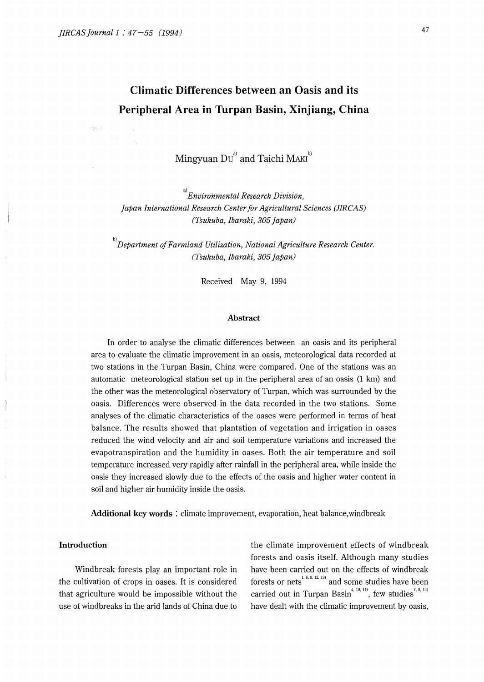ingen e

# **Climatic Differences between an Oasis and its Peripheral Area in Turpan Basin, Xinjiang, China**

Mingyuan  $DU^{a}$  and Taichi MAKI<sup>b)</sup>

a) *Environmental Research Division, Japan International Research Center for Agricultural Sciences (JIRCAS) (Tsukuba, Ibaraki, 305 Japan)* 

<sup>b)</sup> Department of Farmland Utilization, National Agriculture Research Center. *(Tsukuba, Ibaraki, 305 Japan)* 

Received May 9, 1994

#### **Abstract**

In order to analyse the climatic differences between an oasis and its peripheral area to evaluate the climatic improvement in an oasis, meteorological data recorded at two stations in the Turpan Basin, China were compared. One of the stations was an automatic meteorological station set up in the peripheral area of an oasis (1 km) and the other was the meteorological observatory of Turpan, which was surrounded by the oasis. Differences were observed in the data recorded in the two stations. Some analyses of the climatic characteristics of the oases were performed in terms of heat balance. The results showed that plantation of vegetation and irrigation in oases reduced the wind velocity and air and soil temperature variations and increased the evapotranspiration and the humidity in oases. Both the air temperature and soil temperature increased very rapidly after rainfall in the peripheral area, while inside the oasis they increased slowly due to the effects of the oasis and higher water content in soil and higher air humidity inside the oasis.

**Additional key words** : climate improvement, evaporation, heat balance,windbreak

#### **Introduction**

Windbreak forests play an important role in the cultivation of crops in oases. It is considered that agriculture would be impossible without the use of windbreaks in the arid lands of China due to

the climate improvement effects of windbreak forests and oasis itself. Although many studies have been carried out on the effects of windbreak forests or nets<sup>1, 6, 9, 12, 13</sup> and some studies have been carried out in Turpan Basin<sup>4, 10, 11)</sup>, few studies<sup>7, 8, 14)</sup> have dealt with the climatic improvement by oasis,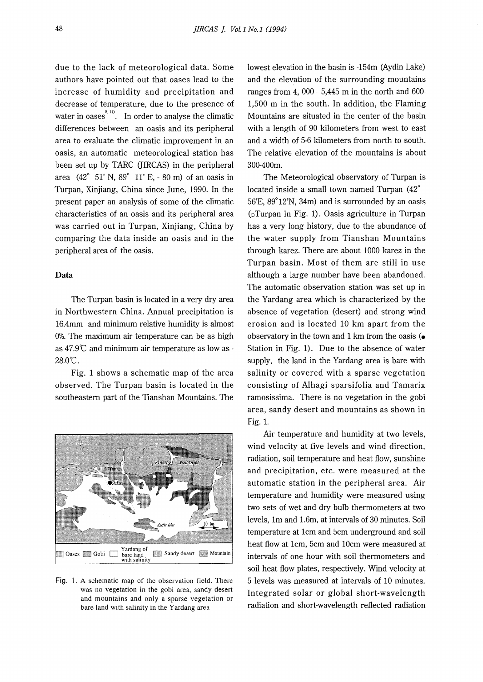due to the lack of meteorological data. Some authors have pointed out that oases lead to the increase of humidity and precipitation and decrease of temperature, due to the presence of water in oases<sup> $8,14$ </sup>. In order to analyse the climatic differences between an oasis and its peripheral area to evaluate the climatic improvement in an oasis, an automatic meteorological station has been set up by TARC (JIRCAS) in the peripheral area (42° 51' N, 89° 11' E, - 80 m) of an oasis in Turpan, Xinjiang, China since June, 1990. In the present paper an analysis of some of the climatic characteristics of an oasis and its peripheral area was carried out in Turpan, Xinjiang, China by comparing the data inside an oasis and in the peripheral area of the oasis.

### **Data**

The Turpan basin is located in a very dry area in Northwestern China. Annual precipitation is 16.4mm and minimum relative humidity is almost 0%. The maximum air temperature can be as high as 47.9°C and minimum air temperature as low as - 28.0°C.

Fig. 1 shows a schematic map of the area observed. The Turpan basin is located in the southeastern part of the Tianshan Mountains. The



Fig. 1. A schematic map of the observation field. There was no vegetation in the gobi area, sandy desert and mountains and only a sparse vegetation or bare land with salinity in the Yardang area

lowest elevation in the basin is -154m (Aydin Lake) and the elevation of the surrounding mountains ranges from 4, 000 - 5,445 m in the north and 600- 1,500 m in the south. In addition, the Flaming Mountains are situated in the center of the basin with a length of 90 kilometers from west to east and a width of 5-6 kilometers from north to south. The relative elevation of the mountains is about 300-400m.

The Meteorological observatory of Turpan is located inside a small town named Turpan (42° 56'E, 89° 12'N, 34m) and is surrounded by an oasis (oTurpan in Fig. 1). Oasis agriculture in Turpan has a very long history, due to the abundance of the water supply from Tianshan Mountains through karez. There are about 1000 karez in the Turpan basin. Most of them are still in use although a large number have been abandoned. The automatic observation station was set up in the Yardang area which is characterized by the absence of vegetation (desert) and strong wind erosion and is located 10 km apart from the observatory in the town and 1 km from the oasis (• Station in Fig. 1). Due to the absence of water supply, the land in the Yardang area is bare with salinity or covered with a sparse vegetation consisting of Alhagi sparsifolia and Tamarix ramosissima. There is no vegetation in the gobi area, sandy desert and mountains as shown in Fig. 1.

Air temperature and humidity at two levels, wind velocity at five levels and wind direction, radiation, soil temperature and heat flow, sunshine and precipitation, etc. were measured at the automatic station in the peripheral area. Air temperature and humidity were measured using two sets of wet and dry bulb thermometers at two levels, lm and 1.6m, at intervals of 30 minutes. Soil temperature at 1cm and 5cm underground and soil heat flow at 1cm, 5cm and 10cm were measured at intervals of one hour with soil thermometers and soil heat flow plates, respectively. Wind velocity at 5 levels was measured at intervals of 10 minutes. Integrated solar or global short-wavelength radiation and short-wavelength reflected radiation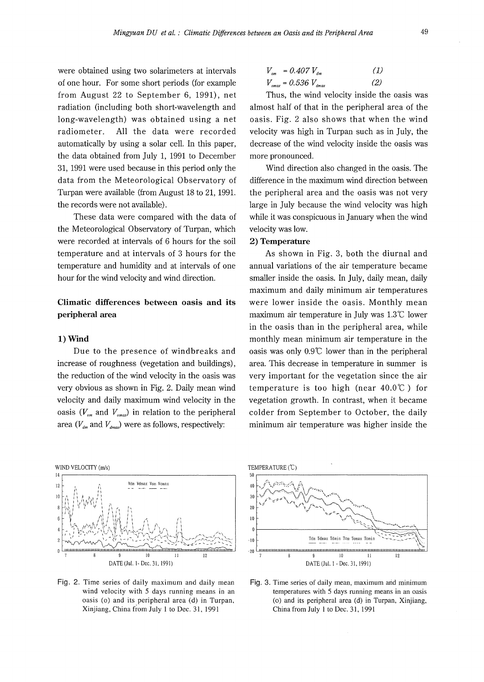were obtained using two solarimeters at intervals of one hour. For some short periods (for example from August 22 to September 6, 1991), net radiation (including both short-wavelength and long-wavelength) was obtained using a net radiometer. All the data were recorded automatically by using a solar cell. In this paper, the data obtained from July 1, 1991 to December 31, 1991 were used because in this period only the data from the Meteorological Observatory of Turpan were available (from August 18 to 21, 1991. the records were not available).

These data were compared with the data of the Meteorological Observatory of Turpan, which were recorded at intervals of 6 hours for the soil temperature and at intervals of 3 hours for the temperature and humidity and at intervals of one hour for the wind velocity and wind direction.

## **Climatic differences between oasis and its peripheral area**

#### **1) Wind**

Due to the presence of windbreaks and increase of roughness (vegetation and buildings), the reduction of the wind velocity in the oasis was very obvious as shown in Fig. 2. Daily mean wind velocity and daily maximum wind velocity in the oasis  $(V_{\scriptscriptstyle om}$  and  $V_{\scriptscriptstyle omax}$ ) in relation to the peripheral area  $(V_{dm}$  and  $V_{dmax}$ ) were as follows, respectively:

$$
V_{om} = 0.407 V_{dm}
$$
 (1)  

$$
V_{omax} = 0.536 V_{dmax}
$$
 (2)

Thus, the wind velocity inside the oasis was almost half of that in the peripheral area of the oasis. Fig. 2 also shows that when the wind velocity was high in Turpan such as in July, the decrease of the wind velocity inside the oasis was more pronounced.

Wind direction also changed in the oasis. The difference in the maximum wind direction between the peripheral area and the oasis was not very large in July because the wind velocity was high while it was conspicuous in January when the wind velocity was low.

#### **2) Temperature**

As shown in Fig. 3, both the diurnal and annual variations of the air temperature became smaller inside the oasis. In July, daily mean, daily maximum and daily minimum air temperatures were lower inside the oasis. Monthly mean maximum air temperature in July was  $1.3^{\circ}$  lower in the oasis than in the peripheral area, while monthly mean minimum air temperature in the oasis was only 0.9'C lower than in the peripheral area. This decrease in temperature in summer is very important for the vegetation since the air temperature is too high (near  $40.0^{\circ}$ ) for vegetation growth. In contrast, when it became colder from September to October, the daily minimum air temperature was higher inside the



Fig. 2. Time series of daily maximum and daily mean wind velocity with 5 days running means in an oasis (o) and its peripheral area (d) in Turpan, Xinjiang, China from July 1 to Dec. 31, 1991



Fig. 3. Time series of daily mean, maximum and minimum temperatures with 5 days running means in an oasis (o) and its peripheral area (d) in Turpan, Xinjiang, China from July I to Dec. 31, 1991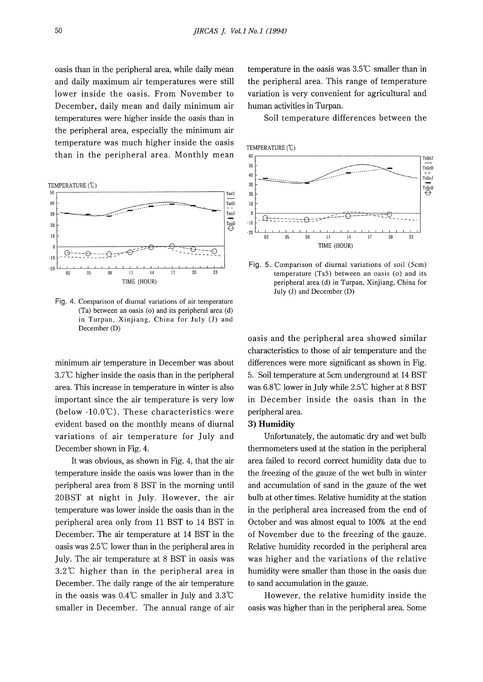oasis than in the peripheral area, while daily mean and daily maximum air temperatures were still lower inside the oasis. From November to December, daily mean and daily minimum air temperatures were higher inside the oasis than in the peripheral area, especially the minimum air temperature was much higher inside the oasis than in the peripheral area. Monthly mean



Fig. 4. Comparison of diurnal variations of air temperature (Ta) between an oasis (o) and its peripheral area (d) in Turpan, Xinjiang, China for July (J) and December (D)

minimum air temperature in December was about  $3.7^{\circ}$ C higher inside the oasis than in the peripheral area. This increase in temperature in winter is also important since the air temperature is very low (below  $-10.0^{\circ}$ ). These characteristics were evident based on the monthly means of diurnal variations of air temperature for July and December shown in Fig. 4.

It was obvious, as shown in Fig. 4, that the air temperature inside the oasis was lower than in the peripheral area from 8 BST in the morning until 20BST at night in July. However, the air temperature was lower inside the oasis than in the peripheral area only from 11 BST to 14 BST in December. The air temperature at 14 BST in the oasis was 2.5°C lower than in the peripheral area in July. The air temperature at 8 BST in oasis was 3.2°C higher than in the peripheral area in December. The daily range of the air temperature in the oasis was  $0.4^{\circ}$ C smaller in July and  $3.3^{\circ}$ C smaller in December. The annual range of air temperature in the oasis was 3.5°C smaller than in the peripheral area. This range of temperature variation is very convenient for agricultural and human activities in Turpan.

Soil temperature differences between the



Fig. 5. Comparison of diurnal variations of soil (5cm) temperature (Ts5) between an oasis (o) and its peripheral area (d) in Turpan, Xinjiang, China for July (J) and December (D)

oasis and the peripheral area showed similar characteristics to those of air temperature and the differences were more significant as shown in Fig. 5. Soil temperature at 5cm underground at 14 BST was  $6.8^{\circ}$  lower in July while  $2.5^{\circ}$  higher at 8 BST in December inside the oasis than in the peripheral area.

### **3) Humidity**

Unfortunately, the automatic dry and wet bulb thermometers used at the station in the peripheral area failed to record correct humidity data due to the freezing of the gauze of the wet bulb in winter and accumulation of sand in the gauze of the wet bulb at other times. Relative humidity at the station in the peripheral area increased from the end of October and was almost equal to 100% at the end of November due to the freezing of the gauze. Relative humidity recorded in the peripheral area was higher and the variations of the relative humidity were smaller than those in the oasis due to sand accumulation in the gauze.

However, the relative humidity inside the oasis was higher than in the peripheral area. Some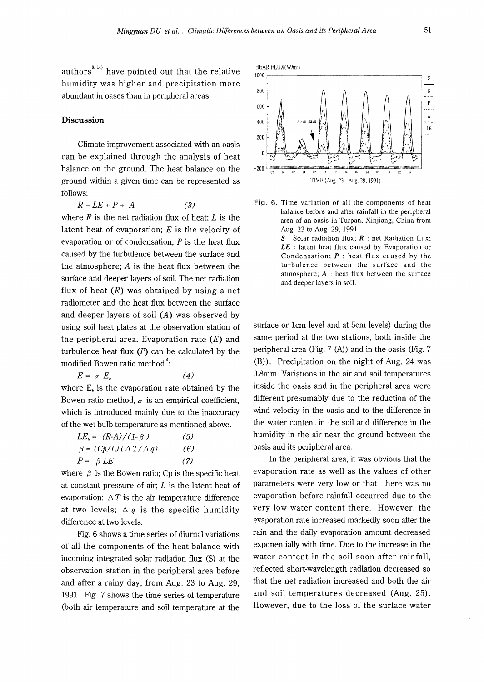authors<sup>8, 14)</sup> have pointed out that the relative humidity was higher and precipitation more abundant in oases than in peripheral areas.

#### **Discussion**

Climate improvement associated with an oasis can be explained through the analysis of heat balance on the ground. The heat balance on the ground within a given time can be represented as follows:

$$
R = LE + P + A \tag{3}
$$

where  $R$  is the net radiation flux of heat;  $L$  is the latent heat of evaporation; *E* is the velocity of evaporation or of condensation; *P* is the heat flux caused by the turbulence between the surface and the atmosphere; A is the heat flux between the surface and deeper layers of soil. The net radiation flux of heat  $(R)$  was obtained by using a net radiometer and the heat flux between the surface and deeper layers of soil (A) was observed by using soil heat plates at the observation station of the peripheral area. Evaporation rate  $(E)$  and turbulence heat flux  $(P)$  can be calculated by the modified Bowen ratio method<sup>5</sup>:

 $E = \alpha E_h$ *(4)*  where  $E<sub>b</sub>$  is the evaporation rate obtained by the Bowen ratio method,  $\alpha$  is an empirical coefficient, which is introduced mainly due to the inaccuracy of the wet bulb temperature as mentioned above.

| $LE_b = (R-A)/(1-\beta)$             | (5) |
|--------------------------------------|-----|
| $\beta = (Cp/L) (\Delta T/\Delta q)$ | (6) |
| $P = \beta LE$                       | (7) |

where  $\beta$  is the Bowen ratio; Cp is the specific heat at constant pressure of air; *L* is the latent heat of evaporation;  $\Delta T$  is the air temperature difference at two levels;  $\Delta q$  is the specific humidity difference at two levels.

Fig. 6 shows a time series of diurnal variations of all the components of the heat balance with incoming integrated solar radiation flux (S) at the observation station in the peripheral area before and after a rainy day, from Aug. 23 to Aug. 29, 1991. Fig. 7 shows the time series of temperature (both air temperature and soil temperature at the



Fig. 6. Time variation of all the components of heat balance before and after rainfall in the peripheral area of an oasis in Turpan, Xinjiang, China from Aug. 23 to Aug. 29, 1991.

> *S* : Solar radiation flux; *R* : net Radiation flux; *LE* : latent heat flux caused by Evaporation or Condensation; **P** : heat flux caused by the turbulence between the surface and the atmosphere; **A** : heat flux between the surface and deeper layers in soil.

surface or 1cm level and at 5cm levels) during the same period at the two stations, both inside the peripheral area (Fig. 7 (A)) and in the oasis (Fig. 7 (B)). Precipitation on the night of Aug. 24 was 0.8mm. Variations in the air and soil temperatures inside the oasis and in the peripheral area were different presumably due to the reduction of the wind velocity in the oasis and to the difference in the water content in the soil and difference in the humidity in the air near the ground between the oasis and its peripheral area.

In the peripheral area, it was obvious that the evaporation rate as well as the values of other parameters were very low or that there was no evaporation before rainfall occurred due to the very low water content there. However, the evaporation rate increased markedly soon after the rain and the daily evaporation amount decreased exponentially with time. Due to the increase in the water content in the soil soon after rainfall, reflected short-wavelength radiation decreased so that the net radiation increased and both the air and soil temperatures decreased (Aug. 25). However, due to the loss of the surface water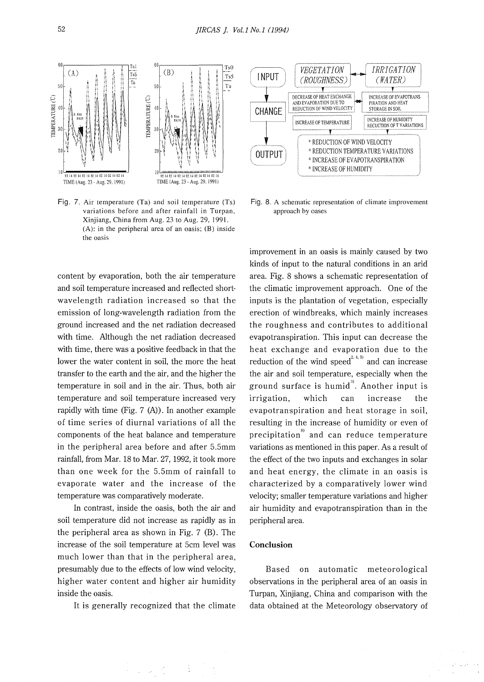

Fig. 7. Air temperature (Ta) and soil temperature (Ts) variations before and after rainfall in Turpan, Xinjiang, China from Aug. 23 to Aug. 29, 1991. (A): in the peripheral area of an oasis; (B) inside the oasis

content by evaporation, both the air temperature and soil temperature increased and reflected shortwave length radiation increased so that the emission of long-wavelength radiation from the ground increased and the net radiation decreased with time. Although the net radiation decreased with time, there was a positive feedback in that the lower the water content in soil, the more the heat transfer to the earth and the air, and the higher the temperature in soil and in the air. Thus, both air temperature and soil temperature increased very rapidly with time (Fig. 7 (A)). In another example of time series of diurnal variations of all the components of the heat balance and temperature in the peripheral area before and after 5.5mm rainfall, from Mar. 18 to Mar. 27, 1992, it took more than one week for the 5.5mm of rainfall to evaporate water and the increase of the temperature was comparatively moderate.

In contrast, inside the oasis, both the air and soil temperature did not increase as rapidly as in the peripheral area as shown in Fig. 7 (B). The increase of the soil temperature at 5cm level was much lower than that in the peripheral area, presumably due to the effects of low wind velocity, higher water content and higher air humidity inside the oasis.

It is generally recognized that the climate

 $\label{eq:2.1} \frac{1}{2} \left( \frac{1}{2} \right) \frac{1}{2} \left( \frac{1}{2} \right) \left( \frac{1}{2} \right) \frac{1}{2} \left( \frac{1}{2} \right)$ 



Fig. 8. A schematic representation of climate improvement approach by oases

improvement in an oasis is mainly caused by two kinds of input to the natural conditions in an arid area. Fig. 8 shows a schematic representation of the climatic improvement approach. One of the inputs is the plantation of vegetation, especially erection of windbreaks, which mainly increases the roughness and contributes to additional evapotranspiration. This input can decrease the heat exchange and evaporation due to the reduction of the wind speed<sup>2, 4, 5</sup> and can increase the air and soil temperature, especially when the ground surface is humid<sup>39</sup>. Another input is irrigation, which can increase the evapotranspiration and heat storage in soil, resulting in the increase of humidity or even of precipitation $^{\mathrm{s}\! \mathrm{s}}$  and can reduce temperature variations as mentioned in this paper. As a result of the effect of the two inputs and exchanges in solar and heat energy, the climate in an oasis is characterized by a comparatively lower wind velocity; smaller temperature variations and higher air humidity and evapotranspiration than in the peripheral area.

## **Conclusion**

Based on automatic meteorological observations in the peripheral area of an oasis in Turpan, Xinjiang, China and comparison with the data obtained at the Meteorology observatory of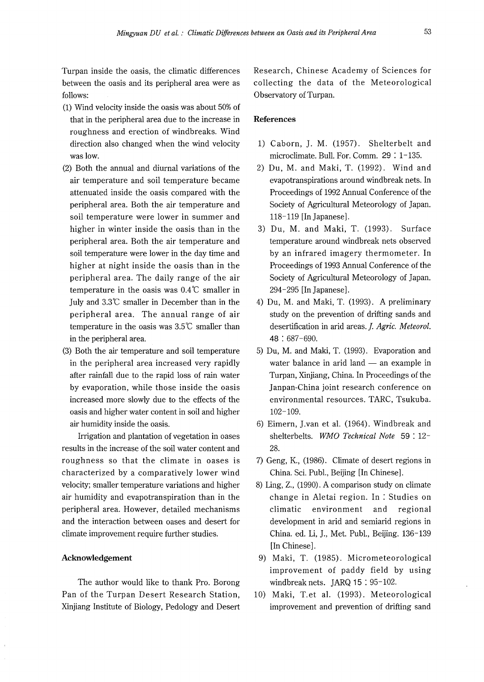Turpan inside the oasis, the climatic differences between the oasis and its peripheral area were as follows:

- (1) Wind velocity inside the oasis was about 50% of that in the peripheral area due to the increase in **References**  roughness and erection of windbreaks. Wind direction also changed when the wind velocity was low.
- (2) Both the annual and diurnal variations of the air temperature and soil temperature became attenuated inside the oasis compared with the peripheral area. Both the air temperature and soil temperature were lower in summer and higher in winter inside the oasis than in the peripheral area. Both the air temperature and soil temperature were lower in the day time and higher at night inside the oasis than in the peripheral area. The daily range of the air temperature in the oasis was  $0.4\degree$ C smaller in July and 3.3°C smaller in December than in the peripheral area. The annual range of air temperature in the oasis was  $3.5^{\circ}$ C smaller than in the peripheral area.
- (3) Both the air temperature and soil temperature in the peripheral area increased very rapidly after rainfall due to the rapid loss of rain water by evaporation, while those inside the oasis increased more slowly due to the effects of the oasis and higher water content in soil and higher air humidity inside the oasis.

Irrigation and plantation of vegetation in oases results in the increase of the soil water content and roughness so that the climate in oases is characterized by a comparatively lower wind velocity; smaller temperature variations and higher air humidity and evapotranspiration than in the peripheral area. However, detailed mechanisms and the interaction between oases and desert for climate improvement require further studies.

#### **Acknowledgement**

The author would like to thank Pro. Borong Pan of the Turpan Desert Research Station, Xinjiang Institute of Biology, Pedology and Desert Research, Chinese Academy of Sciences for collecting the data of the Meteorological Observatory of Turpan.

- 1) Caborn, J. M. (1957). Shelterbelt and microclimate. Bull. For. Comm. 29 : 1-135.
- 2) Du, M. and Maki, T. (1992). Wind and evapotranspirations around windbreak nets. In Proceedings of 1992 Annual Conference of the Society of Agricultural Meteorology of Japan. 118-119 [InJapanese].
- 3) Du, M. and Maki, T. (1993). Surface temperature around windbreak nets observed by an infrared imagery thermometer. In Proceedings of 1993 Annual Conference of the Society of Agricultural Meteorology of Japan. 294-295 [In Japanese].
- 4) Du, M. and Maki, T. (1993). A preliminary study on the prevention of drifting sands and desertification in arid areas. *f. Agric. Meteorol.*  48 : 687-690.
- 5) Du, M. and Maki, T. (1993). Evaporation and water balance in arid land  $-$  an example in Turpan, Xinjiang, China. In Proceedings of the Janpan-China joint research conference on environmental resources. TARC, Tsukuba. 102-109.
- 6) Eimern, ].van et al. (1964). Windbreak and shelterbelts. *WMO Technical Note* 59 : 12- 28.
- 7) Geng, K., (1986). Climate of desert regions in China. Sci. Publ., Beijing [In Chinese].
- 8) Ling, Z., (1990). A comparison study on climate change in Aletai region. In : Studies on climatic environment and regional development in arid and semiarid regions in China. ed. Li, J., Met. Publ., Beijing. 136-139 [In Chinese] .
- 9) Maki, T. (1985). Micrometeorological improvement of paddy field by using windbreak nets. JARQ 15 : 95-102.
- 10) Maki, T.et al. (1993). Meteorological improvement and prevention of drifting sand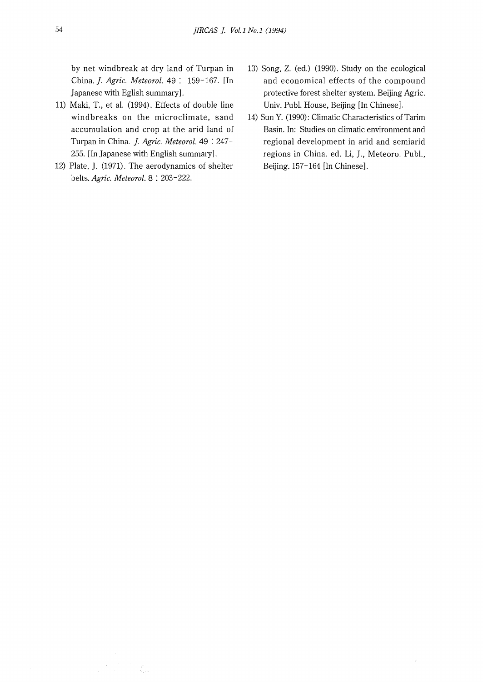by net windbreak at dry land of Turpan in China.]. *Agric. Meteorol.* 49 : 159-167. [In Japanese with Eglish summary].

- 11) Maki, T., et al. (1994). Effects of double line windbreaks on the microclimate, sand accumulation and crop at the arid land of Turpan in China. *J. Agric. Meteorol*. 49:247-255. [In Japanese with English summary].
- 12) Plate, J. (1971). The aerodynamics of shelter belts. *Agric. Meteorol.* 8 : 203-222.
- 13) Song, Z. (ed.) (1990). Study on the ecological and economical effects of the compound protective forest shelter system. Beijing Agric. Univ. Publ. House, Beijing [In Chinese].
- 14) Sun Y. (1990): Climatic Characteristics of Tarim Basin. In: Studies on climatic environment and regional development in arid and semiarid regions in China. ed. Li, J., Meteoro. Publ., Beijing. 157-164 [In Chinese].